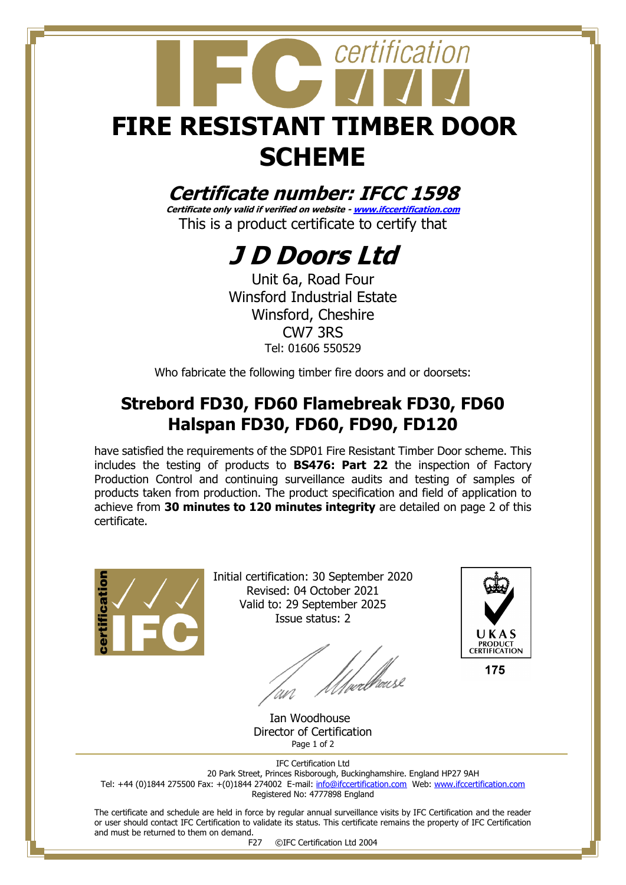# certification **FIRE RESISTANT TIMBER DOOR SCHEME**

### **Certificate number: IFCC 1598**

**Certificate only valid if verified on website - [www.ifccertification.com](http://www.ifccertification.com/)** This is a product certificate to certify that

## **J D Doors Ltd**

Unit 6a, Road Four Winsford Industrial Estate Winsford, Cheshire CW7 3RS Tel: 01606 550529

Who fabricate the following timber fire doors and or doorsets:

### **Strebord FD30, FD60 Flamebreak FD30, FD60 Halspan FD30, FD60, FD90, FD120**

have satisfied the requirements of the SDP01 Fire Resistant Timber Door scheme. This includes the testing of products to **BS476: Part 22** the inspection of Factory Production Control and continuing surveillance audits and testing of samples of products taken from production. The product specification and field of application to achieve from **30 minutes to 120 minutes integrity** are detailed on page 2 of this certificate.



Initial certification: 30 September 2020 Revised: 04 October 2021 Valid to: 29 September 2025 Issue status: 2

/<sub>wee</sub>lbaase UN



 Ian Woodhouse Director of Certification Page 1 of 2

IFC Certification Ltd 20 Park Street, Princes Risborough, Buckinghamshire. England HP27 9AH Tel: +44 (0)1844 275500 Fax: +(0)1844 274002 E-mail[: info@ifccertification.com](mailto:info@ifccertification.com) Web: [www.ifccertification.com](http://www.ifccertification.com/) Registered No: 4777898 England

The certificate and schedule are held in force by regular annual surveillance visits by IFC Certification and the reader or user should contact IFC Certification to validate its status. This certificate remains the property of IFC Certification and must be returned to them on demand.

F27 ©IFC Certification Ltd 2004